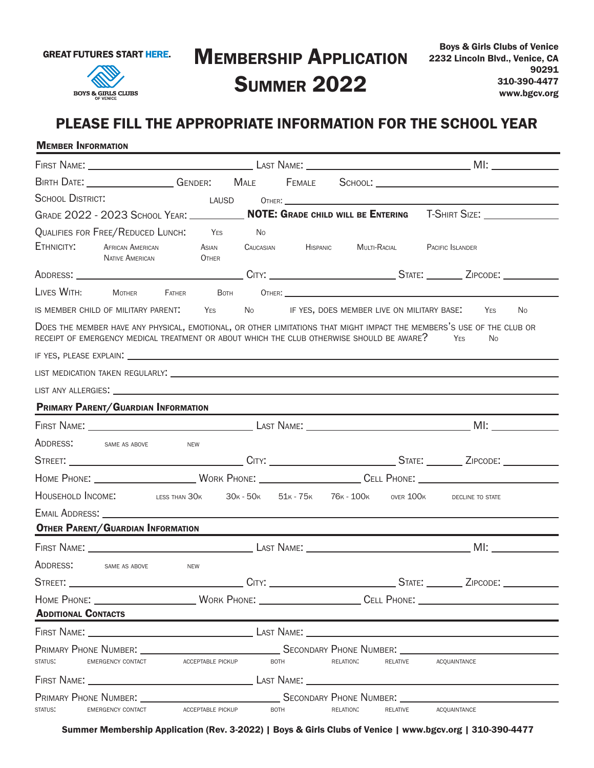

Member Information

## **MEMBERSHIP APPLICATION SUMMER 2022**

### PLEASE FILL THE APPROPRIATE INFORMATION FOR THE SCHOOL YEAR

|                            |                                                                                                                                                                                                                                |              |                          |                          |                                                                                                                                                                                                                                      |                 | BIRTH DATE: __________________GENDER: MALE FEMALE SCHOOL: _______________________                                                                     |
|----------------------------|--------------------------------------------------------------------------------------------------------------------------------------------------------------------------------------------------------------------------------|--------------|--------------------------|--------------------------|--------------------------------------------------------------------------------------------------------------------------------------------------------------------------------------------------------------------------------------|-----------------|-------------------------------------------------------------------------------------------------------------------------------------------------------|
| <b>SCHOOL DISTRICT:</b>    |                                                                                                                                                                                                                                |              |                          |                          | LAUSD OTHER: <u>University of the Californian Community of the Californian Community of the Californian Community of the Californian Community of the Californian Community of the Californian Community of the Californian Comm</u> |                 |                                                                                                                                                       |
|                            |                                                                                                                                                                                                                                |              |                          |                          |                                                                                                                                                                                                                                      |                 | GRADE 2022 - 2023 SCHOOL YEAR: NOTE: GRADE CHILD WILL BE ENTERING T-SHIRT SIZE:                                                                       |
|                            | QUALIFIES FOR FREE/REDUCED LUNCH:                                                                                                                                                                                              |              | YES No                   |                          |                                                                                                                                                                                                                                      |                 |                                                                                                                                                       |
| ETHNICITY:                 | AFRICAN AMERICAN<br>NATIVE AMERICAN                                                                                                                                                                                            | <b>OTHER</b> |                          | ASIAN CAUCASIAN HISPANIC | Multi-Racial                                                                                                                                                                                                                         |                 | PACIFIC ISLANDER                                                                                                                                      |
|                            |                                                                                                                                                                                                                                |              |                          |                          |                                                                                                                                                                                                                                      |                 |                                                                                                                                                       |
|                            |                                                                                                                                                                                                                                |              |                          |                          |                                                                                                                                                                                                                                      |                 | LIVES WITH: MOTHER FATHER BOTH OTHER: 1988)                                                                                                           |
|                            | IS MEMBER CHILD OF MILITARY PARENT. YES                                                                                                                                                                                        |              |                          |                          |                                                                                                                                                                                                                                      |                 | No IF YES, DOES MEMBER LIVE ON MILITARY BASE.<br>No<br><b>YES</b>                                                                                     |
|                            | RECEIPT OF EMERGENCY MEDICAL TREATMENT OR ABOUT WHICH THE CLUB OTHERWISE SHOULD BE AWARE?                                                                                                                                      |              |                          |                          |                                                                                                                                                                                                                                      |                 | DOES THE MEMBER HAVE ANY PHYSICAL, EMOTIONAL, OR OTHER LIMITATIONS THAT MIGHT IMPACT THE MEMBERS'S USE OF THE CLUB OR<br><b>YES</b><br>N <sub>0</sub> |
|                            |                                                                                                                                                                                                                                |              |                          |                          |                                                                                                                                                                                                                                      |                 |                                                                                                                                                       |
|                            |                                                                                                                                                                                                                                |              |                          |                          |                                                                                                                                                                                                                                      |                 |                                                                                                                                                       |
|                            |                                                                                                                                                                                                                                |              |                          |                          |                                                                                                                                                                                                                                      |                 |                                                                                                                                                       |
|                            | PRIMARY PARENT/GUARDIAN INFORMATION                                                                                                                                                                                            |              |                          |                          |                                                                                                                                                                                                                                      |                 |                                                                                                                                                       |
|                            |                                                                                                                                                                                                                                |              |                          |                          |                                                                                                                                                                                                                                      |                 |                                                                                                                                                       |
| ADDRESS:                   | SAME AS ABOVE                                                                                                                                                                                                                  | <b>NEW</b>   |                          |                          |                                                                                                                                                                                                                                      |                 |                                                                                                                                                       |
|                            |                                                                                                                                                                                                                                |              |                          |                          |                                                                                                                                                                                                                                      |                 |                                                                                                                                                       |
|                            |                                                                                                                                                                                                                                |              |                          |                          |                                                                                                                                                                                                                                      |                 |                                                                                                                                                       |
|                            | HOUSEHOLD INCOME: LESS THAN 30K 30K - 50K 51K - 75K 76K - 100K OVER 100K                                                                                                                                                       |              |                          |                          |                                                                                                                                                                                                                                      |                 | DECLINE TO STATE                                                                                                                                      |
|                            | EMAIL ADDRESS: University of the Community of the Community of the Community of the Community of the Community of the Community of the Community of the Community of the Community of the Community of the Community of the Co |              |                          |                          |                                                                                                                                                                                                                                      |                 |                                                                                                                                                       |
|                            | <b>OTHER PARENT/GUARDIAN INFORMATION</b>                                                                                                                                                                                       |              |                          |                          |                                                                                                                                                                                                                                      |                 |                                                                                                                                                       |
|                            |                                                                                                                                                                                                                                |              |                          |                          |                                                                                                                                                                                                                                      |                 |                                                                                                                                                       |
| ADDRESS:                   | SAME AS ABOVE                                                                                                                                                                                                                  | <b>NEW</b>   |                          |                          |                                                                                                                                                                                                                                      |                 |                                                                                                                                                       |
| STREET:                    |                                                                                                                                                                                                                                |              |                          |                          |                                                                                                                                                                                                                                      |                 |                                                                                                                                                       |
|                            |                                                                                                                                                                                                                                |              |                          |                          |                                                                                                                                                                                                                                      |                 |                                                                                                                                                       |
| <b>ADDITIONAL CONTACTS</b> |                                                                                                                                                                                                                                |              |                          |                          |                                                                                                                                                                                                                                      |                 |                                                                                                                                                       |
|                            |                                                                                                                                                                                                                                |              |                          |                          |                                                                                                                                                                                                                                      |                 |                                                                                                                                                       |
|                            | PRIMARY PHONE NUMBER: CONDENSITY PHONE NUMBER:                                                                                                                                                                                 |              | <b>ACCEPTABLE PICKUP</b> | <b>BOTH</b>              | RELATION:                                                                                                                                                                                                                            | <b>RELATIVE</b> | ACOUAINTANCE                                                                                                                                          |
|                            | <b>EMERGENCY CONTACT</b>                                                                                                                                                                                                       |              |                          |                          |                                                                                                                                                                                                                                      |                 |                                                                                                                                                       |
| STATUS:                    |                                                                                                                                                                                                                                |              |                          |                          |                                                                                                                                                                                                                                      |                 |                                                                                                                                                       |

Summer Membership Application (Rev. 3-2022) | Boys & Girls Clubs of Venice | www.bgcv.org | 310-390-4477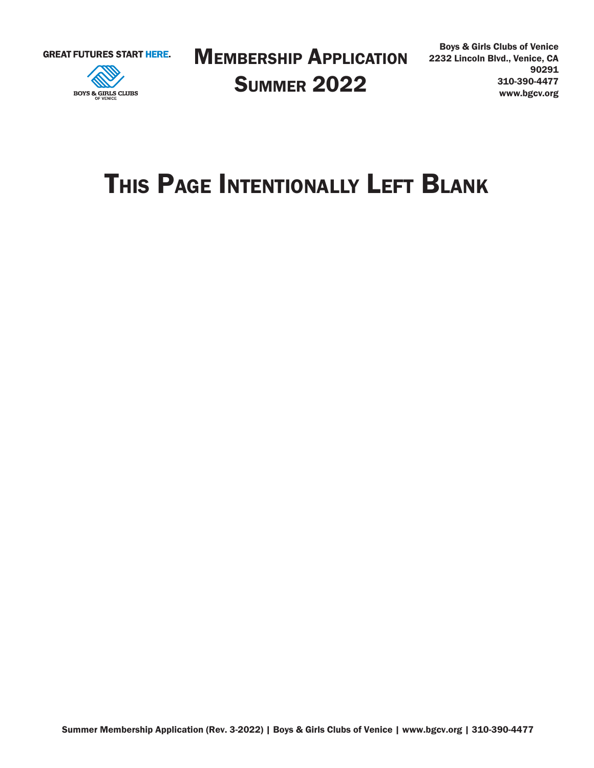



Boys & Girls Clubs of Venice 2232 Lincoln Blvd., Venice, CA 90291 310-390-4477 www.bgcv.org

# THIS PAGE INTENTIONALLY LEFT BLANK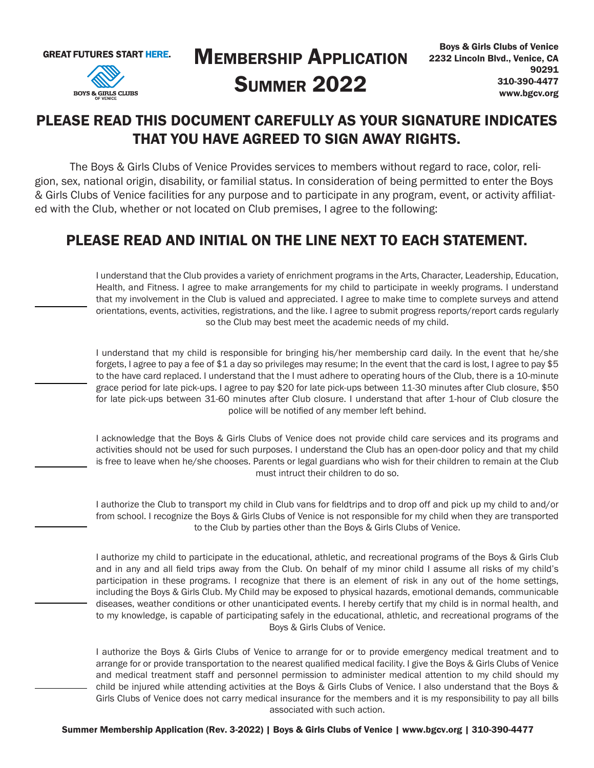



### PLEASE READ THIS DOCUMENT CAREFULLY AS YOUR SIGNATURE INDICATES THAT YOU HAVE AGREED TO SIGN AWAY RIGHTS.

The Boys & Girls Clubs of Venice Provides services to members without regard to race, color, religion, sex, national origin, disability, or familial status. In consideration of being permitted to enter the Boys & Girls Clubs of Venice facilities for any purpose and to participate in any program, event, or activity affiliated with the Club, whether or not located on Club premises, I agree to the following:

### PLEASE READ AND INITIAL ON THE LINE NEXT TO EACH STATEMENT.

I understand that the Club provides a variety of enrichment programs in the Arts, Character, Leadership, Education, Health, and Fitness. I agree to make arrangements for my child to participate in weekly programs. I understand that my involvement in the Club is valued and appreciated. I agree to make time to complete surveys and attend orientations, events, activities, registrations, and the like. I agree to submit progress reports/report cards regularly so the Club may best meet the academic needs of my child.

I understand that my child is responsible for bringing his/her membership card daily. In the event that he/she forgets, I agree to pay a fee of \$1 a day so privileges may resume; In the event that the card is lost, I agree to pay \$5 to the have card replaced. I understand that the I must adhere to operating hours of the Club, there is a 10-minute grace period for late pick-ups. I agree to pay \$20 for late pick-ups between 11-30 minutes after Club closure, \$50 for late pick-ups between 31-60 minutes after Club closure. I understand that after 1-hour of Club closure the police will be notified of any member left behind.

I acknowledge that the Boys & Girls Clubs of Venice does not provide child care services and its programs and activities should not be used for such purposes. I understand the Club has an open-door policy and that my child is free to leave when he/she chooses. Parents or legal guardians who wish for their children to remain at the Club must intruct their children to do so.

I authorize the Club to transport my child in Club vans for fieldtrips and to drop off and pick up my child to and/or from school. I recognize the Boys & Girls Clubs of Venice is not responsible for my child when they are transported to the Club by parties other than the Boys & Girls Clubs of Venice.

I authorize my child to participate in the educational, athletic, and recreational programs of the Boys & Girls Club and in any and all field trips away from the Club. On behalf of my minor child I assume all risks of my child's participation in these programs. I recognize that there is an element of risk in any out of the home settings, including the Boys & Girls Club. My Child may be exposed to physical hazards, emotional demands, communicable diseases, weather conditions or other unanticipated events. I hereby certify that my child is in normal health, and to my knowledge, is capable of participating safely in the educational, athletic, and recreational programs of the Boys & Girls Clubs of Venice.

I authorize the Boys & Girls Clubs of Venice to arrange for or to provide emergency medical treatment and to arrange for or provide transportation to the nearest qualified medical facility. I give the Boys & Girls Clubs of Venice and medical treatment staff and personnel permission to administer medical attention to my child should my child be injured while attending activities at the Boys & Girls Clubs of Venice. I also understand that the Boys & Girls Clubs of Venice does not carry medical insurance for the members and it is my responsibility to pay all bills associated with such action.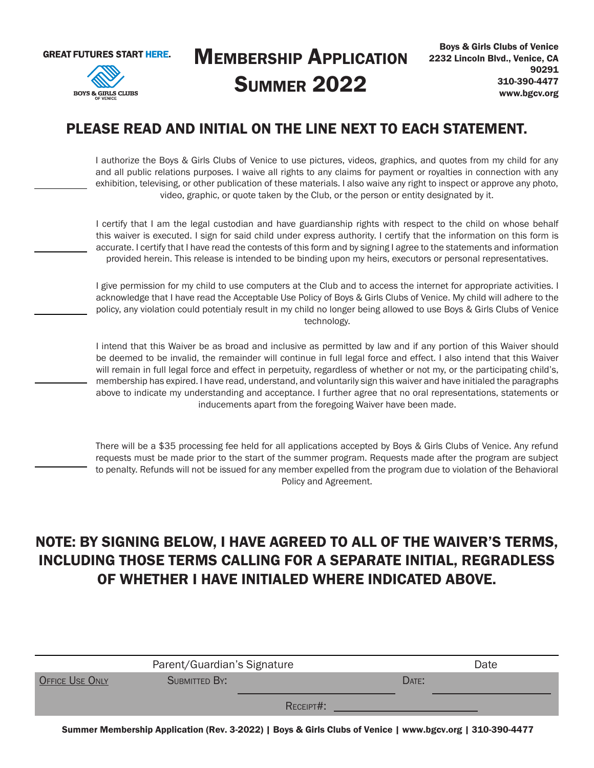



### PLEASE READ AND INITIAL ON THE LINE NEXT TO EACH STATEMENT.

I authorize the Boys & Girls Clubs of Venice to use pictures, videos, graphics, and quotes from my child for any and all public relations purposes. I waive all rights to any claims for payment or royalties in connection with any exhibition, televising, or other publication of these materials. I also waive any right to inspect or approve any photo, video, graphic, or quote taken by the Club, or the person or entity designated by it.

I certify that I am the legal custodian and have guardianship rights with respect to the child on whose behalf this waiver is executed. I sign for said child under express authority. I certify that the information on this form is accurate. I certify that I have read the contests of this form and by signing I agree to the statements and information provided herein. This release is intended to be binding upon my heirs, executors or personal representatives.

I give permission for my child to use computers at the Club and to access the internet for appropriate activities. I acknowledge that I have read the Acceptable Use Policy of Boys & Girls Clubs of Venice. My child will adhere to the policy, any violation could potentialy result in my child no longer being allowed to use Boys & Girls Clubs of Venice technology.

I intend that this Waiver be as broad and inclusive as permitted by law and if any portion of this Waiver should be deemed to be invalid, the remainder will continue in full legal force and effect. I also intend that this Waiver will remain in full legal force and effect in perpetuity, regardless of whether or not my, or the participating child's, membership has expired. I have read, understand, and voluntarily sign this waiver and have initialed the paragraphs above to indicate my understanding and acceptance. I further agree that no oral representations, statements or inducements apart from the foregoing Waiver have been made.

There will be a \$35 processing fee held for all applications accepted by Boys & Girls Clubs of Venice. Any refund requests must be made prior to the start of the summer program. Requests made after the program are subject to penalty. Refunds will not be issued for any member expelled from the program due to violation of the Behavioral Policy and Agreement.

### NOTE: BY SIGNING BELOW, I HAVE AGREED TO ALL OF THE WAIVER'S TERMS, INCLUDING THOSE TERMS CALLING FOR A SEPARATE INITIAL, REGRADLESS OF WHETHER I HAVE INITIALED WHERE INDICATED ABOVE.

| OFFICE USE ONLY<br>SUBMITTED BY:<br>$D$ ATF: | Date |  |  |
|----------------------------------------------|------|--|--|
|                                              |      |  |  |
| $R$ FCFIPT $#$ :                             |      |  |  |

Summer Membership Application (Rev. 3-2022) | Boys & Girls Clubs of Venice | www.bgcv.org | 310-390-4477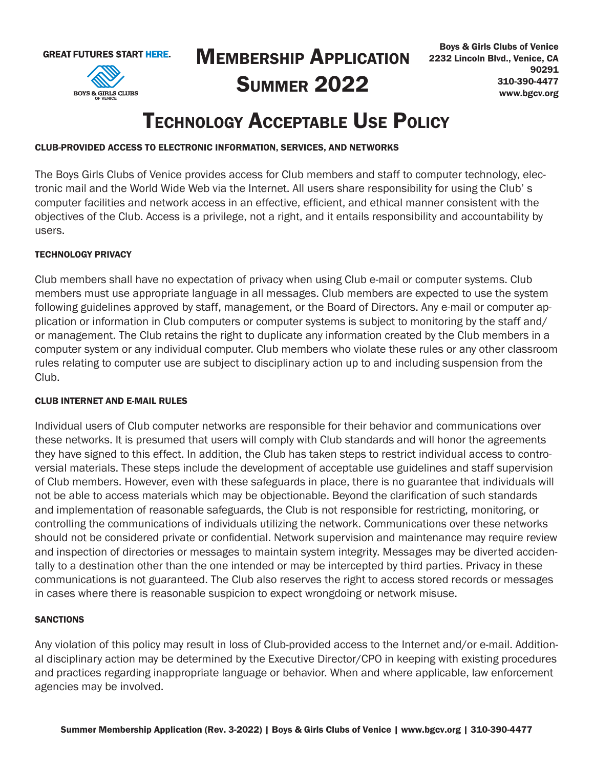



## **TECHNOLOGY ACCEPTABLE USE POLICY**

#### CLUB-PROVIDED ACCESS TO ELECTRONIC INFORMATION, SERVICES, AND NETWORKS

The Boys Girls Clubs of Venice provides access for Club members and staff to computer technology, electronic mail and the World Wide Web via the Internet. All users share responsibility for using the Club' s computer facilities and network access in an effective, efficient, and ethical manner consistent with the objectives of the Club. Access is a privilege, not a right, and it entails responsibility and accountability by users.

#### TECHNOLOGY PRIVACY

Club members shall have no expectation of privacy when using Club e-mail or computer systems. Club members must use appropriate language in all messages. Club members are expected to use the system following guidelines approved by staff, management, or the Board of Directors. Any e-mail or computer application or information in Club computers or computer systems is subject to monitoring by the staff and/ or management. The Club retains the right to duplicate any information created by the Club members in a computer system or any individual computer. Club members who violate these rules or any other classroom rules relating to computer use are subject to disciplinary action up to and including suspension from the Club.

#### CLUB INTERNET AND E-MAIL RULES

Individual users of Club computer networks are responsible for their behavior and communications over these networks. It is presumed that users will comply with Club standards and will honor the agreements they have signed to this effect. In addition, the Club has taken steps to restrict individual access to controversial materials. These steps include the development of acceptable use guidelines and staff supervision of Club members. However, even with these safeguards in place, there is no guarantee that individuals will not be able to access materials which may be objectionable. Beyond the clarification of such standards and implementation of reasonable safeguards, the Club is not responsible for restricting, monitoring, or controlling the communications of individuals utilizing the network. Communications over these networks should not be considered private or confidential. Network supervision and maintenance may require review and inspection of directories or messages to maintain system integrity. Messages may be diverted accidentally to a destination other than the one intended or may be intercepted by third parties. Privacy in these communications is not guaranteed. The Club also reserves the right to access stored records or messages in cases where there is reasonable suspicion to expect wrongdoing or network misuse.

#### **SANCTIONS**

Any violation of this policy may result in loss of Club-provided access to the Internet and/or e-mail. Additional disciplinary action may be determined by the Executive Director/CPO in keeping with existing procedures and practices regarding inappropriate language or behavior. When and where applicable, law enforcement agencies may be involved.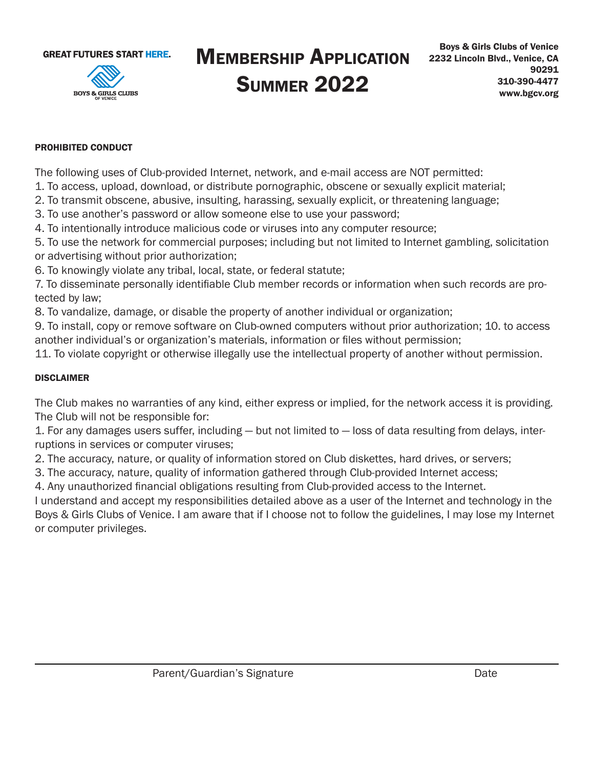



#### PROHIBITED CONDUCT

The following uses of Club-provided Internet, network, and e-mail access are NOT permitted:

- 1. To access, upload, download, or distribute pornographic, obscene or sexually explicit material;
- 2. To transmit obscene, abusive, insulting, harassing, sexually explicit, or threatening language;
- 3. To use another's password or allow someone else to use your password;
- 4. To intentionally introduce malicious code or viruses into any computer resource;

5. To use the network for commercial purposes; including but not limited to Internet gambling, solicitation or advertising without prior authorization;

6. To knowingly violate any tribal, local, state, or federal statute;

7. To disseminate personally identifiable Club member records or information when such records are protected by law;

8. To vandalize, damage, or disable the property of another individual or organization;

9. To install, copy or remove software on Club-owned computers without prior authorization; 10. to access another individual's or organization's materials, information or files without permission;

11. To violate copyright or otherwise illegally use the intellectual property of another without permission.

#### DISCLAIMER

The Club makes no warranties of any kind, either express or implied, for the network access it is providing. The Club will not be responsible for:

1. For any damages users suffer, including — but not limited to — loss of data resulting from delays, interruptions in services or computer viruses;

2. The accuracy, nature, or quality of information stored on Club diskettes, hard drives, or servers;

3. The accuracy, nature, quality of information gathered through Club-provided Internet access;

4. Any unauthorized financial obligations resulting from Club-provided access to the Internet.

I understand and accept my responsibilities detailed above as a user of the Internet and technology in the Boys & Girls Clubs of Venice. I am aware that if I choose not to follow the guidelines, I may lose my Internet or computer privileges.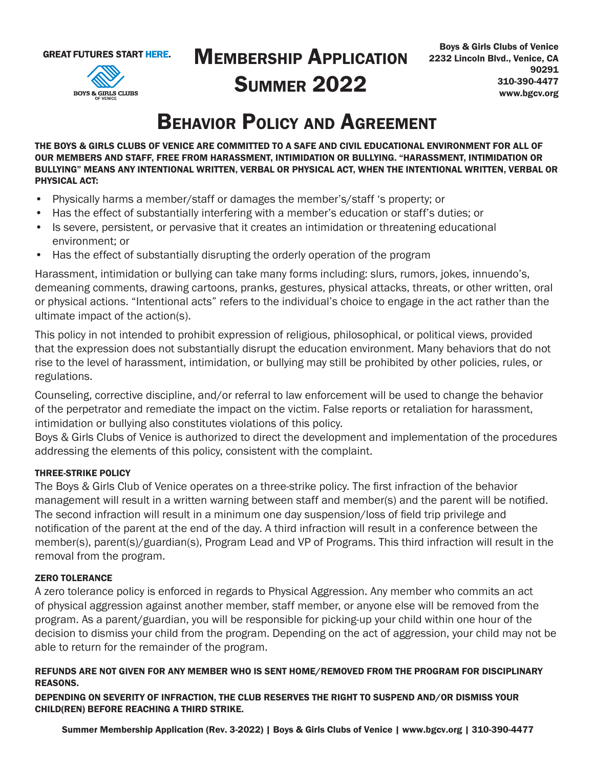



## Behavior Policy and Agreement

THE BOYS & GIRLS CLUBS OF VENICE ARE COMMITTED TO A SAFE AND CIVIL EDUCATIONAL ENVIRONMENT FOR ALL OF OUR MEMBERS AND STAFF, FREE FROM HARASSMENT, INTIMIDATION OR BULLYING. "HARASSMENT, INTIMIDATION OR BULLYING" MEANS ANY INTENTIONAL WRITTEN, VERBAL OR PHYSICAL ACT, WHEN THE INTENTIONAL WRITTEN, VERBAL OR PHYSICAL ACT:

- Physically harms a member/staff or damages the member's/staff 's property; or
- Has the effect of substantially interfering with a member's education or staff's duties; or
- Is severe, persistent, or pervasive that it creates an intimidation or threatening educational environment; or
- Has the effect of substantially disrupting the orderly operation of the program

Harassment, intimidation or bullying can take many forms including: slurs, rumors, jokes, innuendo's, demeaning comments, drawing cartoons, pranks, gestures, physical attacks, threats, or other written, oral or physical actions. "Intentional acts" refers to the individual's choice to engage in the act rather than the ultimate impact of the action(s).

This policy in not intended to prohibit expression of religious, philosophical, or political views, provided that the expression does not substantially disrupt the education environment. Many behaviors that do not rise to the level of harassment, intimidation, or bullying may still be prohibited by other policies, rules, or regulations.

Counseling, corrective discipline, and/or referral to law enforcement will be used to change the behavior of the perpetrator and remediate the impact on the victim. False reports or retaliation for harassment, intimidation or bullying also constitutes violations of this policy.

Boys & Girls Clubs of Venice is authorized to direct the development and implementation of the procedures addressing the elements of this policy, consistent with the complaint.

### THREE-STRIKE POLICY

The Boys & Girls Club of Venice operates on a three-strike policy. The first infraction of the behavior management will result in a written warning between staff and member(s) and the parent will be notified. The second infraction will result in a minimum one day suspension/loss of field trip privilege and notification of the parent at the end of the day. A third infraction will result in a conference between the member(s), parent(s)/guardian(s), Program Lead and VP of Programs. This third infraction will result in the removal from the program.

### ZERO TOLERANCE

A zero tolerance policy is enforced in regards to Physical Aggression. Any member who commits an act of physical aggression against another member, staff member, or anyone else will be removed from the program. As a parent/guardian, you will be responsible for picking-up your child within one hour of the decision to dismiss your child from the program. Depending on the act of aggression, your child may not be able to return for the remainder of the program.

#### REFUNDS ARE NOT GIVEN FOR ANY MEMBER WHO IS SENT HOME/REMOVED FROM THE PROGRAM FOR DISCIPLINARY REASONS.

DEPENDING ON SEVERITY OF INFRACTION, THE CLUB RESERVES THE RIGHT TO SUSPEND AND/OR DISMISS YOUR CHILD(REN) BEFORE REACHING A THIRD STRIKE.